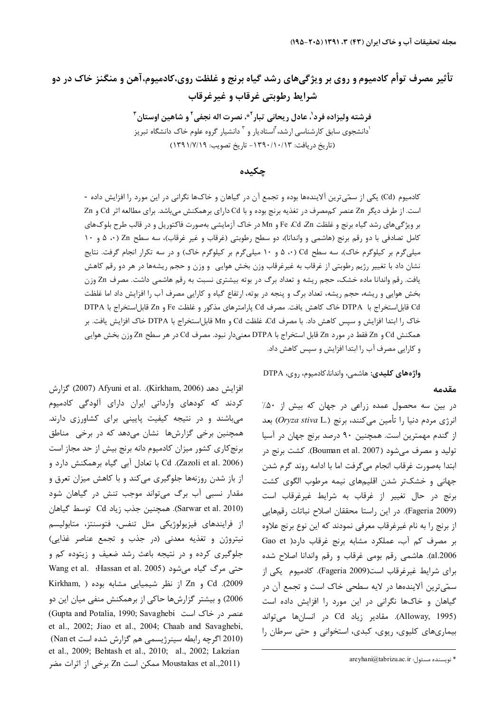# تأثیر مصرف توأم کادمیوم و روی بر ویژگیهای رشد گیاه برنج و غلظت روی،کادمیوم،آهن و منگنز خاک در دو شرايط رطوبتي غرقاب و غيرغرقاب

فرشته وليزاده فرد'، عادل ريحاني تيار<sup>٢</sup>، نصرت اله نجفي ّ و شاهين اوستان ّ <sup>'</sup>دانشجوی سابق کارشناسی ارشد، <sup>۲</sup>استادیار و <sup>۳</sup> دانشیار گروه علوم خاک دانشگاه تبریز (تاريخ دريافت: ١٣٩٠/١٠/١٣٩٣ - تاريخ تصويب: ١٣٩١/٧/١٩)

## حكىدە

کادمیوم (Cd) یکی از سمّیترین آلایندهها بوده و تجمع آن در گیاهان و خاکها نگرانی در این مورد را افزایش داده -است. از طرف دیگر Zn عنصر کم مصرف در تغذیه برنج بوده و با Cd دارای برهمکنش می باشد. برای مطالعه اثر Cd و Zn بر ويژگىهاى رشد گياه برنج و غلظت Fe ،Cd ،Zn و Mn در خاک آزمايشى بهصورت فاكتوريل و در قالب طرح بلوکهاى کامل تصادفی با دو رقم برنج (هاشمی و واندانا)، دو سطح رطوبتی (غرقاب و غیر غرقاب)، سه سطح Zn (۰، ۵ و ۱۰ میلیگرم بر کیلوگرم خاک)، سه سطح Cd (۰، ۵ و ۱۰ میلیگرم بر کیلوگرم خاک) و در سه تکرار انجام گرفت. نتایج نشان داد با تغییر رژیم رطوبتی از غرقاب به غیرغرقاب وزن بخش هوایی وووزن و حجم ریشهها در هر دو رقم کاهش یافت. رقم واندانا ماده خشک، حجم ریشه و تعداد برگ در بوته بیشتری نسبت به رقم هاشمی داشت. مصرف Zn وزن بخش هوایی و ریشه، حجم ریشه، تعداد برگ و پنجه در بوته، ارتفاع گیاه و کارایی مصرف آب را افزایش داد اما غلظت Cd قابل|ستخراج با DTPA خاک کاهش یافت. مصرف Cd پارامترهای مذکور و غلظت Fe و Zn قابل|ستخراج با DTPA خاک ,ا ابتدا افزایش و سپس کاهش داد. با مصرف Cd، غلظت Cd و Mn قابل|ستخراج با DTPA خاک افزایش یافت. بر همكنش Cd و Zn فقط در مورد Zn قابل استخراج با DTPA معنىدار نبود. مصرف Cd در هر سطح Zn وزن بخش هوايي و کارایی مصرف آب را ابتدا افزایش و سپس کاهش داد.

واژەهای کلیدی: هاشمی، واندانا، کادمیوم، روی، DTPA

#### مقدمه

در بین سه محصول عمده زراعی در جهان که بیش از ۵۰٪ انرژی مردم دنیا را تأمین میکنند، برنج (*.Oryza stiva* L) بعد از گندم مهمترین است. همچنین ۹۰ درصد برنج جهان در آسیا تولید و مصرف می شود (Bouman et al. 2007). کشت برنج در ابتدا بەصورت غرقاب انجام مىگرفت اما با ادامه روند گرم شدن جهانی و خشکتر شدن اقلیمهای نیمه مرطوب الگوی کشت برنج در حال تغییر از غرقاب به شرایط غیرغرقاب است (Fageria 2009). در این راستا محققان اصلاح نباتات رقمهایی از برنج را به نام غیرغرقاب معرفی نمودند که این نوع برنج علاوه بر مصرف کم آب، عملکرد مشابه برنج غرقاب دارد( Gao et al.2006). هاشمي رقم بومي غرقاب و رقم واندانا اصلاح شده برای شرایط غیرغرقاب است(Fageria 2009). کادمیوم یکی از سمّی ترین آلایندهها در لایه سطحی خاک است و تجمع آن در گیاهان و خاکها نگرانی در این مورد را افزایش داده است (Alloway, 1995). مقادير زياد Cd در انسانها مي تواند بیماریهای کلیوی، ریوی، کبدی، استخوانی و حتی سرطان را

افزايش دهد (Kirkham, 2006). Afyuni et al. (Kirkham, 2006) گزارش کردند که کودهای وارداتی ایران دارای آلودگی کادمیوم میباشند و در نتیجه کیفیت پایینی برای کشاورزی دارند. همچنین برخی گزارشها نشان میدهد که در برخی مناطق برنج کاری کشور میزان کادمیوم دانه برنج بیش از حد مجاز است Cd .(Zazoli et al. 2006). Cd با تعادل آبی گیاه برهمکنش دارد و از باز شدن روزنهها جلوگیری میکند و با کاهش میزان تعرق و مقدار نسبی آب برگ میتواند موجب تنش در گیاهان شود (Sarwar et al. 2010). همچنین جذب زیاد Cd توسط گیاهان از فرايندهاي فيزيولوژيكي مثل تنفس، فتوسنتز، متابوليسم نیتروژن و تغذیه معدنی (در جذب و تجمع عناصر غذایی) جلوگیری کرده و در نتیجه باعث رشد ضعیف و زیتوده کم و Wang et al. Hassan et al. 2005) حتى مرگ گياه مى شود Cd .(2009) و Zn از نظر شيميايي مشابه بوده ( Kirkham, 2006) و بیشتر گزارشها حاکی از برهمکنش منفی میان این دو (Gupta and Potalia, 1990; Savaghebi عنصر در خاک است et al., 2002; Jiao et al., 2004; Chaab and Savaghebi, (2010 اگرچه رابطه سینرژیسمی هم گزارش شده است Nan et) et al., 2009; Behtash et al., 2010; al., 2002; Lakzian Moustakas et al.,2011) ممكن است Zn برخى از اثرات مضر

areyhani@tabrizu.ac.ir :نویسنده مسئول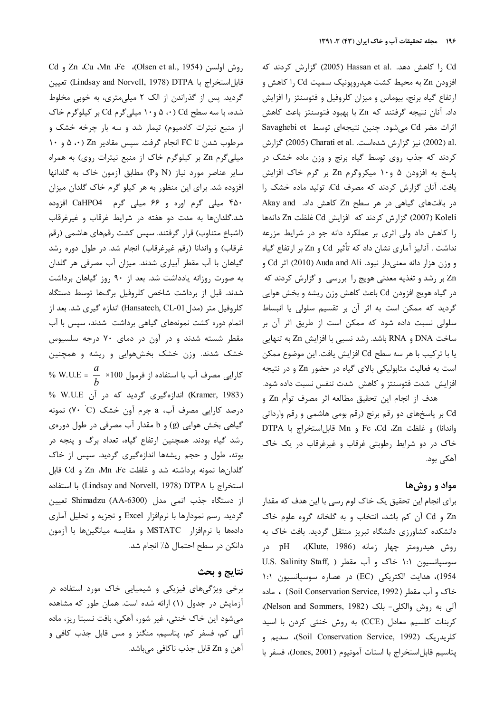Cd و Zn ،Cu ،Mn ،Fe ،(Olsen et al., 1954) قابل|ستخراج با Lindsay and Norvell, 1978) DTPA) تعيين گردید. پس از گذراندن از الک ۲ میلی متری، به خوبی مخلوط شده، با سه سطح Cd (۰، ۵ و۱۰ میلیگرم Cd بر کیلوگرم خاک از منبع نیترات کادمیوم) تیمار شد و سه بار چرخه خشک و مرطوب شدن تا FC انجام گرفت. سپس مقادیر Zn (۵،۰ و ۱۰ میلی گرم Zn بر کیلوگرم خاک از منبع نیترات روی) به همراه سایر عناصر مورد نیاز (N وP) مطابق آزمون خاک به گلدانها افزوده شد. برای این منظور به هر کیلو گرم خاک گلدان میزان ۴۵۰ میلی گرم اوره و ۶۶ میلی گرم CaHPO4 افزوده شد.گلدانها به مدت دو هفته در شرایط غرقاب و غیرغرقاب (اشباع متناوب) قرار گرفتند. سپس کشت رقمهای هاشمی (رقم غرقاب) و واندانا (رقم غیرغرقاب) انجام شد. در طول دوره رشد گیاهان با آب مقطر آبیاری شدند. میزان آب مصرفی هر گلدان به صورت روزانه یادداشت شد. بعد از ۹۰ روز گیاهان برداشت شدند. قبل از برداشت شاخص کلروفیل برگها توسط دستگاه كلروفيل متر (مدل Hansatech, CL-01) اندازه گيري شد. بعد از اتمام دوره کشت نمونههای گیاهی برداشت شدند، سپس با آب مقطر شسته شدند و در آون در دمای ۷۰ درجه سلسیوس خشک شدند. وزن خشک بخشهوایی و ریشه و همچنین % W.U.E =  $\frac{a}{b}$  ×100 كارايي مصرف آب با استفاده از فرمول 100× (Kramer, 1983) اندازهگیری گردید که در آن W.U.E % درصد کارایی مصرف آب، a جرم آون خشک (V• C) نمونه گیاهی بخش هوایی (g) و b مقدار آب مصرفی در طول دورهی رشد گیاه بودند. همچنین ارتفاع گیاه، تعداد برگ و پنجه در بوته، طول و حجم ریشهها اندازهگیری گردید. سپس از خاک گلدانها نمونه برداشته شد و غلظت Zn ،Mn ،Fe و Cd قابل استخراج با Lindsay and Norvell, 1978) DTPA) با استفاده از دستگاه جذب اتمی مدل (AA-6300) Shimadzu تعیین گردید. رسم نمودارها با نرمافزار Excel و تجزیه و تحلیل آماری دادهها با نرمافزار MSTATC و مقايسه ميانگينها با آزمون دانكن در سطح احتمال ۵٪ انجام شد.

### نتايج و بحث

برخی ویژگیهای فیزیکی و شیمیایی خاک مورد استفاده در آزمایش در جدول (۱) ارائه شده است. همان طور که مشاهده می شود این خاک خنثی، غیر شور، آهکی، بافت نسبتا ریز، ماده آلی کم، فسفر کم، پتاسیم، منگنز و مس قابل جذب کافی و آهن و Zn قابل جذب ناكافي ميباشد.

Cd را کاهش دهد. .Hassan et al (2005) گزارش کردند که افزودن Zn به محیط کشت هیدرویونیک سمیت Cd را کاهش و ارتفاع گیاه برنج، بیوماس و میزان کلروفیل و فتوسنتز را افزایش داد. آنان نتيجه گرفتند كه Zn با بهبود فتوسنتز باعث كاهش اثرات مضر Cd میشود. چنین نتیجهای توسط Savaghebi et .al (2002) نيز گزارش شدهاست. Charati et al (2005) گزارش کردند که جذب روی توسط گیاه برنج و وزن ماده خشک در یاسخ به افزودن ۵ و۱۰ میکروگرم Zn بر گرم خاک افزایش یافت. آنان گزارش کردند که مصرف Cd، تولید ماده خشک را در بافتهای گیاهی در هر سطح Zn کاهش داد. Akay and Xoleli (2007) گزارش کردند که افزایش Cd غلظت Zn دانهها را کاهش داد ولی اثری بر عملکرد دانه جو در شرایط مزرعه نداشت . آنالیز آماری نشان داد که تأثیر Cd و Zn بر ارتفاع گیاه و وزن هزار دانه معنىدار نبود. Cd وCd (2010) اثر Cd و Zn بر رشد و تغذیه معدنی هویج را بررسی و گزارش کردند که در گیاه هویج افزودن Cd باعث کاهش وزن ریشه و بخش هوایی گردید که ممکن است به اثر آن بر تقسیم سلولی یا انبساط سلولی نسبت داده شود که ممکن است از طریق اثر آن بر ساخت DNA و RNA باشد. رشد نسبی با افزایش Zn به تنهایی يا با تركيب با هر سه سطح Cd افزايش يافت. اين موضوع ممكن است به فعالیت متابولیکی بالای گیاه در حضور Zn و در نتیجه افزایش شدت فتوسنتز و کاهش شدت تنفس نسبت داده شود.

هدف از انجام اين تحقيق مطالعه اثر مصرف توأم Zn و Cd بر پاسخهای دو رقم برنج (رقم بومی هاشمی و رقم وارداتی واندانا) و غلظت Fe ،Cd ،Zn و Mn قابل|ستخراج با DTPA خاک در دو شرایط رطوبتی غرقاب و غیرغرقاب در یک خاک آهکي بود.

## مواد و روشها

برای انجام این تحقیق یک خاک لوم رسی با این هدف که مقدار Zn و Cd آن كم باشد، انتخاب و به گلخانه گروه علوم خاك دانشکده کشاورزی دانشگاه تبریز منتقل گردید. بافت خاک به روش هیدرومتر چهار زمانه (Klute, 1986)، pH در سوسيانسيون ١:١ خاک و آب مقطر ( .U.S. Salinity Staff 1954)، هدايت الكتريكي (EC) در عصاره سوسيانسيون ١:١ خاک و آب مقطر (Soil Conservation Service, 1992) ، ماده آلي به روش والكلي- بلک (Nelson and Sommers, 1982)، كربنات كلسيم معادل (CCE) به روش خنثى كردن با اسيد كلريدريك (Soil Conservation Service, 1992)، سديم و پتاسيم قابل استخراج با استات آمونيوم (Jones, 2001)، فسفر با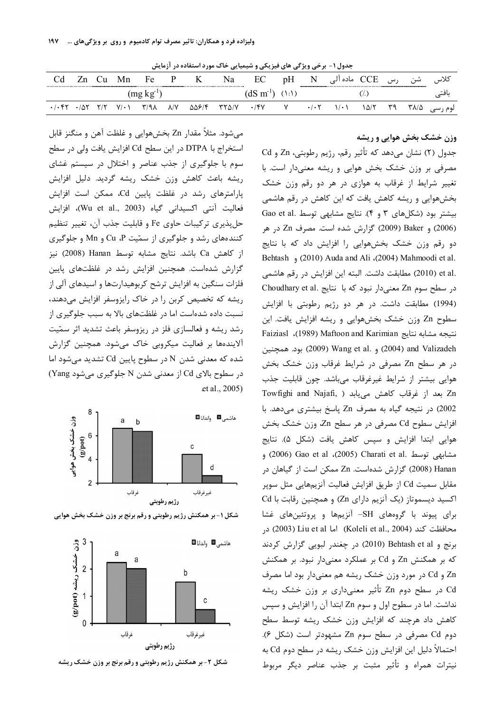جدول ۱- برخی ویژگی های فیزیکی و شیمیایی خاک مورد استفاده در آزمایش

|             | ∪∪         | Mn          | Fe                        | P                  | K     | Na<br>.      | EC               | pH          | N    | CCE ماده آلی |      | رس | شن   | كلاس    |
|-------------|------------|-------------|---------------------------|--------------------|-------|--------------|------------------|-------------|------|--------------|------|----|------|---------|
|             |            |             | (mg kg                    |                    |       |              | $(dS \, m^{-1})$ | $(\cdot)$ : |      |              |      |    |      |         |
| $\cdot$ / 5 | <b>T/T</b> | $V/\cdot$ \ | $\mathcal{L}/\mathcal{A}$ | $\lambda/\Upsilon$ | 55814 | $YY\Delta/Y$ | .78V             |             | .1.5 | $1/\cdot$    | ۱۵/۲ |    | ۳۸/۵ | لوم رسی |

میشود. مثلاً مقدار Zn بخشهوایی و غلظت آهن و منگنز قابل استخراج با DTPA در این سطح Cd افزایش یافت ولی در سطح سوم با جلوگیری از جذب عناصر و اختلال در سیستم غشای ریشه باعث کاهش وزن خشک ریشه گردید. دلیل افزایش پارامترهای رشد در غلظت پایین Cd، ممکن است افزایش فعاليت آنتي اكسيداني گياه (Wu et al., 2003)، افزايش حلپذیری ترکیبات حاوی Fe و قابلیت جذب آن، تغییر تنظیم کنندههای رشد و جلوگیری از سمّیت Cu ،P و Mn و جلوگیری از كاهش Ca باشد. نتايج مشابه توسط Hanan (2008) نيز گزارش شدهاست. همچنین افزایش رشد در غلظتهای پایین فلزات سنگین به افزایش ترشح کربوهیدارتها و اسیدهای آلی از ریشه که تخصیص کربن را در خاک رایزوسفر افزایش میدهند، نسبت داده شدهاست اما در غلظتهای بالا به سبب جلوگیری از رشد ریشه و فعالسازی فلز در ریزوسفر باعث تشدید اثر سمّیت آلایندهها بر فعالیت میکروبی خاک میشود. همچنین گزارش شده که معدنی شدن N در سطوح پایین Cd تشدید میشود اما در سطوح بالای Cd از معدنی شدن N جلوگیری میشود Yang) et al., 2005)





شکل ۱- بر همکنش رژیم رطوبتی و رقم برنج بر وزن خشک بخش هوایی

شکل ۲- بر همکنش رژیم رطوبتی و رقم برنج بر وزن خشک ریشه

وزن خشک بخش هوایی و ریشه

جدول (٢) نشان مي دهد كه تأثير رقم، رژيم رطوبتي، Zn و Cd مصرفی بر وزن خشک بخش هوایی و ریشه معنیدار است. با تغییر شرایط از غرقاب به هوازی در هر دو رقم وزن خشک بخشهوایی و ریشه کاهش یافت که این کاهش در رقم هاشمی بیشتر بود (شکلهای ۳ و ۴). نتایج مشابهی توسط .Gao et al (2006) و Baker (2009) گزارش شده است. مصرف Zn در هر دو رقم وزن خشک بخشهوایی را افزایش داد که با نتایج Behtash (2010) Auda and Ali (2004) Mahmoodi et al. .et al (2010) مطابقت داشت. البته اين افزايش در رقم هاشمي در سطح سوم Zn معنى دار نبود كه با نتايج .Choudhary et al (1994) مطابقت داشت. در هر دو رژيم رطوبتي با افزايش سطوح Zn وزن خشک بخشهوایی و ریشه افزایش یافت. این نتيجه مشابه نتايج Haiziasl (1989) Maftoon and Karimian بود. همچنین) Wang et al. و (2004) and Valizadeh در هر سطح Zn مصرفی در شرایط غرقاب وزن خشک بخش هوایی بیشتر از شرایط غیرغرقاب میباشد. چون قابلیت جذب Towfighi and Najafi, ) كاهش مى يابد ( Towfighi and Najafi, 2002) در نتيجه گياه به مصرف Zn پاسخ بيشترى مى دهد. با افزایش سطوح Cd مصرفی در هر سطح Zn، وزن خشک بخش هوایی ابتدا افزایش و سپس کاهش یافت (شکل ۵). نتایج مشابهی توسط .Charati et al (2005) Charati et al (2006) و Hanan (2008) گزارش شدهاست. Zn ممکن است از گیاهان در مقابل سمیت Cd از طریق افزایش فعالیت آنزیمهایی مثل سوپر اکسید دیسموتاز (یک آنزیم دارای Zn) و همچنین رقابت با Cd برای پیوند با گروههای SH- آنزیمها و پروتئینهای غشا محافظت كند (Koleli et al., 2004) اما Liu et al) (2003) در برنج و Behtash et al (2010) در چغندر لبويي گزارش كردند که بر همکنش Zn و Cd بر عملکرد معنیدار نبود. بر همکنش Zn و Cd در مورد وزن خشک ریشه هم معنیدار بود اما مصرف Cd در سطح دوم Zn تأثیر معنیداری بر وزن خشک ریشه نداشت. اما در سطوح اول و سوم Zn ابتدا آن را افزایش و سپس کاهش داد هرچند که افزایش وزن خشک ریشه توسط سطح دوم Cd مصرفی در سطح سوم Zn مشهودتر است (شکل ۶). احتمالاً دلیل این افزایش وزن خشک ریشه در سطح دوم Cd به نيترات همراه و تأثير مثبت بر جذب عناصر ديگر مربوط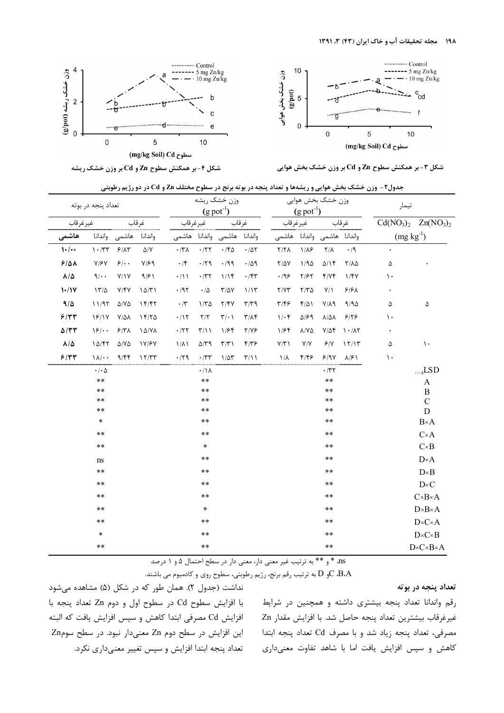

Z) YZ V + Cd Zn ^"\_G W6HR/ + [H1 ."/ WX+ YZ V



شکل ۳- بر همکنش سطوح Zn و Cd بر 1

جدول2 - وزن خشک بخش هوایی و ریشهها و تعداد پنجه در بوته برنج در سطوح مختلف Zn و Cd در دو رژیم رطوبتی

|                   | تعداد پنجه در بوته                            |                           |                   |                     | $(g$ pot <sup>-1</sup> ) | وزن خشک ریشه                |                        |                         | $(g$ pot <sup>-1</sup> ) | وزن خشک بخش هوايي           |                                | تيمار          |                                |  |
|-------------------|-----------------------------------------------|---------------------------|-------------------|---------------------|--------------------------|-----------------------------|------------------------|-------------------------|--------------------------|-----------------------------|--------------------------------|----------------|--------------------------------|--|
| غيرغرقاب          |                                               |                           | غرقاب             | غيرغرقاب            |                          |                             | غرقاب                  |                         | غير غر قاب               |                             | غرقاب                          |                | $Cd(NO3)2 Zn(NO3)2$            |  |
| هاشمى             |                                               | واندانا هاشمى واندانا     |                   |                     |                          | واندانا هاشمى واندانا هاشمى |                        |                         |                          | واندانا هاشمى واندانا هاشمى |                                | $(mg kg^{-1})$ |                                |  |
| 1.1               | $\mathcal{N} \cdot / \mathcal{N} \mathcal{N}$ | $8/\lambda$ ۳             | $\Delta/Y$        | $\cdot$ /۳ $\wedge$ |                          | $\cdot$ /٢٢ $\cdot$ /۴۵     | $\cdot/\Delta\Upsilon$ | Y/Y                     | $1/\lambda$ ۶            | $Y/\lambda$                 | $\cdot$ /9                     |                |                                |  |
| 9/21              | $Y/\mathcal{F}Y$                              | 9/1.                      | $Y/\mathcal{F}$ 9 | $\cdot$ /۴          | $\cdot$ /٢٩              | $\cdot$ /99                 | .409                   | $Y/\Delta V$            | 1/90                     | Q/Y                         | $Y/\lambda\Delta$              | ۵              |                                |  |
| $\lambda/\Delta$  | 9/4                                           | Y/Y                       | 9/91              | $\cdot/11$          | $\cdot$ /۳۲              | 1/15                        | $\cdot$ /۴۳            | .199                    | Y/FY                     | Y/YY                        | 1/fV                           | ١.             |                                |  |
| $1 - 11$          | 17/2                                          | Y/Y                       | 10/T1             | .797                | $\cdot/\Delta$           | $T/\Delta V$                | 1/15                   | Y/YY                    | $Y/Y\Delta$              | $Y/\lambda$                 | $9/8\lambda$                   |                |                                |  |
| 9/2               | 11/97                                         | $\Delta$ /Y $\Delta$      | 15/57             | $\cdot$ /۳          | $1/\tau \Delta$          | Y/Y                         | $\tau/\tau$ 9          | $\mathbf{y}/\mathbf{z}$ | $f/\Delta$               | $Y/\lambda$ 9               | 9/90                           | ۵              | ۵                              |  |
| 9/77              | 18/17                                         | $Y/\Delta\lambda$         | 15/70             | $\cdot/\gamma$      | $\Upsilon/\Upsilon$      | $\Upsilon/\cdot$ )          | $\Upsilon/\Lambda$     | $1/\cdot$ ۴             | $\Delta$ /۶۹             | $\lambda/\Delta\lambda$     | 9/79                           | $\mathcal{L}$  |                                |  |
| $\Delta/\tau\tau$ | 18/4                                          | $9/7\lambda$              | 10/VA             | .777                | $\Upsilon/1$             | 1/۶۴                        | $Y/Y$ ۶                | 1/56                    | $\lambda/Y\Delta$        | $Y/\Delta f$                | $\lambda \cdot / \lambda \tau$ |                |                                |  |
| $\lambda/\Delta$  | 10/57                                         | $\Delta/\mathrm{V}\Delta$ | <b>1Y/۶Y</b>      | $1/\lambda$         | $\Delta/\Upsilon$ 9      | $\Upsilon/\Upsilon$ )       | $F/\Upsilon$           | Y/Y                     | Y/Y                      | 9/1                         | 15/15                          | ۵              | $\mathcal{L}$                  |  |
| 9/77              | $\lambda/\cdot$                               | 9/55                      | 17/TT             | $\cdot$ /۲۹         | $\cdot$ /۳۳              | $1/\Delta \tau$             | $\Upsilon/\Upsilon$    | $1/\lambda$             | ۴۱۴۶                     | 9/9V                        | $\lambda$ /۶)                  | $\mathcal{L}$  |                                |  |
|                   | $\cdot$ / $\cdot$ $\Delta$                    |                           |                   |                     | $\cdot/\Lambda$          |                             |                        |                         |                          | $\cdot$ /۳۲                 |                                |                | $L_{\alpha}$ LSD               |  |
|                   | $\ast\ast$                                    |                           |                   |                     | $***$                    |                             |                        |                         |                          | $\star\,\star$              |                                |                | A                              |  |
|                   | $***$                                         |                           |                   |                     | $***$                    |                             |                        |                         |                          | **                          |                                |                | $\bf{B}$                       |  |
|                   | $***$<br>$***$                                |                           |                   |                     | $***$<br>$***$           |                             |                        |                         |                          | $***$<br>**                 |                                |                | $\mathcal{C}$<br>$\mathbf D$   |  |
|                   | $\ast$                                        |                           |                   |                     | $\ast\ast$               |                             |                        |                         |                          | $***$                       |                                |                | $B \times A$                   |  |
|                   | **                                            |                           |                   |                     | $***$                    |                             |                        |                         |                          | $***$                       |                                |                | $C \times A$                   |  |
|                   | $***$                                         |                           |                   |                     | $\ast$                   |                             |                        |                         |                          | **                          |                                |                | $C \times B$                   |  |
|                   | ns                                            |                           |                   |                     | $***$                    |                             |                        |                         |                          | $***$                       |                                |                | $D \times A$                   |  |
|                   | $* *$                                         |                           |                   |                     | $***$                    |                             |                        |                         |                          | **                          |                                |                | $D \times B$                   |  |
|                   | **                                            |                           |                   |                     | $***$                    |                             |                        |                         |                          | **                          |                                |                | $D \times C$                   |  |
|                   | $* *$                                         |                           |                   |                     | $***$                    |                             |                        |                         |                          | $***$                       |                                |                | $C \times B \times A$          |  |
|                   | **                                            |                           |                   |                     | $\ast$                   |                             |                        |                         |                          | **                          |                                |                | $D \times B \times A$          |  |
|                   | $***$                                         |                           |                   |                     | $***$                    |                             |                        |                         |                          | **                          |                                |                | $D \times C \times A$          |  |
|                   | $\ast$                                        |                           |                   |                     | $***$                    |                             |                        |                         |                          | **                          |                                |                | $D \times C \times B$          |  |
|                   | $***$                                         |                           |                   |                     | $***$                    |                             |                        |                         |                          | **                          |                                |                | $D \times C \times B \times A$ |  |

ns، \* و \*\* به ترتيب غير معني دار، معني دار در سطح احتمال 1و 5 درصد

و  $D$  به ترتيب رقم برنج، رژيم رطوبتي، سطوح روي و كادميوم مي باشند. $C$  ، $BA$ 

#### تعداد پنجه در بوته

نداشت (جدول ۲). همان طور که در شکل (۵) مشاهده میشود I افزايش سطوح Cd در سطوح اول و دوم Zn تعداد پنجه با ļ افزايش Cd مصرفي ابتدا كاهش و سپس افزايش يافت كه البته  $Zn$ این افزایش در سطح دوم Zn معنیدار نبود. در سطح سوم تعداد پنجه ابتدا افزایش و سپس تغییر معنیداری نکرد.

رقم واندانا تعداد پنجه بیشتری داشته و همچنین در شرایط غيرغرقاب بيشترين تعداد پنجه حاصل شد. با افزايش مقدار Zn مصرفي، تعداد پنجه زياد شد و با مصرف Cd تعداد پنجه ابتدا کاهش و سپس افزایش یافت اما با شاهد تفاوت معنیداری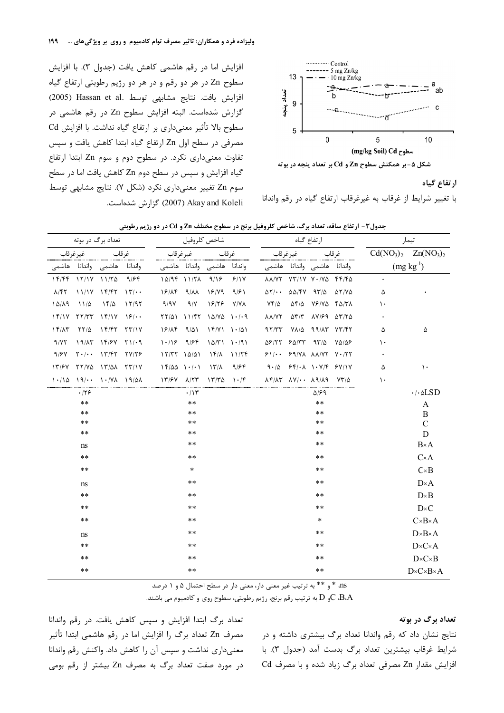افزايش اما در رقم هاشمي كاهش يافت (جدول ٣). با افزايش



ارتفاع گیاه

با تغییر شرایط از غرقاب به غیرغرقاب ارتفاع گیاه در رقم واندانا

سطوح Zn در هر دو رقم و در هر دو رژيم رطوبتي ارتفاع گياه افزايش يافت. نتايج مشابهي توسط .Hassan et al (2005) گزارش شدهاست. البته افزایش سطوح Zn در رقم هاشمی در سطوح بالا تأثير معنى دارى بر ارتفاع گياه نداشت. با افزايش Cd مصرفی در سطح اول Zn ارتفاع گیاه ابتدا کاهش یافت و سپس تفاوت معنى دارى نكرد. در سطوح دوم و سوم Zn ابتدا ارتفاع گیاه افزایش و سپس در سطح دوم Zn کاهش یافت اما در سطح سوم Zn تغییر معنیداری نکرد (شکل ۷). نتایج مشابهی توسط Akay and Koleli كزارش شدهاست.

|                 |             | تعداد برگ در بوته                                                                                                                                                                                                                                                                                                   |       |                                   |       | شاخص كلروفيل                              |                        |                                                                            | ارتفاع گياه                                                                                                                                                              |       | تيمار     |                                |  |
|-----------------|-------------|---------------------------------------------------------------------------------------------------------------------------------------------------------------------------------------------------------------------------------------------------------------------------------------------------------------------|-------|-----------------------------------|-------|-------------------------------------------|------------------------|----------------------------------------------------------------------------|--------------------------------------------------------------------------------------------------------------------------------------------------------------------------|-------|-----------|--------------------------------|--|
| غيرغرقاب        |             | غرقاب                                                                                                                                                                                                                                                                                                               |       |                                   |       |                                           |                        | غيرغرقاب                                                                   |                                                                                                                                                                          | غرقاب |           | $Cd(NO3)2 Zn(NO3)2$            |  |
|                 |             | واندانا هاشمی واندانا هاشمی                                                                                                                                                                                                                                                                                         |       | واندانا هاشمى واندانا هاشمى       |       |                                           |                        |                                                                            | واندانا هاشمى واندانا هاشمى                                                                                                                                              |       |           | $(mg kg-1)$                    |  |
|                 |             | $17/55$ $17/17$ $11/70$                                                                                                                                                                                                                                                                                             | 9/64  | $10/9$ f $11/7$ A $9/1$ ۶ $5/1$ Y |       |                                           |                        |                                                                            | $\Lambda\Lambda/YY$ $YY/1Y$ $Y\cdot/Y$ $Y \cdot Y$                                                                                                                       |       | $\bullet$ |                                |  |
| $\lambda$ /۴۲   |             | $11/1Y$ $17/57$ $17/-$                                                                                                                                                                                                                                                                                              |       | $19/18$ $9/11$ $19/19$            |       |                                           | 9/61                   |                                                                            | $\Delta Y/\cdot \cdot$ $\Delta \Delta /fV$ $\Delta Y/\Delta$ $\Delta Y/V\Delta$                                                                                          |       | ۵         |                                |  |
| 10/19           | $11/\Delta$ | ۱۴/۵                                                                                                                                                                                                                                                                                                                | 17/97 | 9/97                              | 9/7   | $19/79$ $Y/N\Lambda$                      |                        | $Yf/\Delta$                                                                | $\Delta f/\Delta$ $Y$ $/Y\Delta$ $f \Delta /Y\Lambda$                                                                                                                    |       | ۱۰        |                                |  |
|                 |             | $15/1V$ $77/7T$ $15/1V$ $15/$                                                                                                                                                                                                                                                                                       |       |                                   |       | $YY/\Delta 1 11/FY 1\Delta/Y\Delta 1.1.9$ |                        | <b>AA/YY</b>                                                               | $\Delta Y/Y$ $\Delta V/F$ $\Delta Y/Y\Delta$                                                                                                                             |       |           |                                |  |
| $1 f/\Lambda f$ |             | $\frac{1}{2}$ $\frac{1}{2}$ $\frac{1}{2}$ $\frac{1}{2}$ $\frac{1}{2}$ $\frac{1}{2}$ $\frac{1}{2}$ $\frac{1}{2}$ $\frac{1}{2}$ $\frac{1}{2}$ $\frac{1}{2}$ $\frac{1}{2}$ $\frac{1}{2}$ $\frac{1}{2}$ $\frac{1}{2}$ $\frac{1}{2}$ $\frac{1}{2}$ $\frac{1}{2}$ $\frac{1}{2}$ $\frac{1}{2}$ $\frac{1}{2}$ $\frac{1}{2}$ |       |                                   |       | $19/15$ $9/01$ $15/11$ $1.101$            |                        | 97/TT                                                                      | $V\Lambda/\Delta$ 99/17 $V\tau/\tau\tau$                                                                                                                                 |       | ۵         | ۵                              |  |
| 9/17            |             | $19/17$ $19/57$ $71/19$                                                                                                                                                                                                                                                                                             |       | $1.18$ 9/84                       |       |                                           | 10/T1 1.91             |                                                                            | $\Delta$ $>$ $/$ $\Upsilon$ $>$ $\Delta$ $/$ $\Upsilon$ $\Upsilon$ $\Upsilon$ $\Upsilon$ $\Delta$ $\Upsilon$ $\Delta$ $\Upsilon$ $\Delta$ $\Upsilon$ $\Delta$ $\Upsilon$ |       | ۱۰        |                                |  |
| 9/67            |             | $Y \cdot / \cdot$ $Y / \mathfrak{F} Y$ $Y / \mathfrak{F} \mathfrak{F}$                                                                                                                                                                                                                                              |       | $17/77$ $10/01$                   |       |                                           | $16/\lambda$ $11/\tau$ | $51/11$ $59/11$ $\lambda\lambda/11$ $\gamma\lambda$ $\gamma\lambda$        |                                                                                                                                                                          |       |           |                                |  |
|                 |             | $17/5V$ $77/V\Delta$ $17/\Delta\Lambda$ $77/1V$                                                                                                                                                                                                                                                                     |       | $\left( \frac{1}{2} \right)$      |       | $\lambda \mathcal{L}/\lambda$             |                        | $9/56$ $9.10$ $56/11$ $1.11/6$ $51/11$                                     |                                                                                                                                                                          |       | ۵         | $\mathcal{L}$                  |  |
|                 |             |                                                                                                                                                                                                                                                                                                                     |       |                                   |       |                                           |                        | 1./10 19/10 11/8 19/08 19/88 A/TT 17/80 1./F AF/AT AV/10 A9/A9 $YT/\Delta$ |                                                                                                                                                                          |       | ١.        |                                |  |
|                 | ۱۲۶         |                                                                                                                                                                                                                                                                                                                     |       |                                   | ۰/۱۳  |                                           |                        |                                                                            | ۵۱۶۹                                                                                                                                                                     |       |           | $\cdot$ / $\cdot$ $\Delta$ LSD |  |
|                 | $***$       |                                                                                                                                                                                                                                                                                                                     |       |                                   | $***$ |                                           |                        |                                                                            | $***$                                                                                                                                                                    |       |           | A                              |  |
|                 | $***$       |                                                                                                                                                                                                                                                                                                                     |       |                                   | $***$ |                                           |                        |                                                                            | $* *$                                                                                                                                                                    |       |           | B                              |  |
|                 | $***$       |                                                                                                                                                                                                                                                                                                                     |       |                                   | $***$ |                                           |                        |                                                                            | $***$                                                                                                                                                                    |       |           | $\mathcal{C}$                  |  |
|                 | $***$       |                                                                                                                                                                                                                                                                                                                     |       |                                   | $***$ |                                           |                        |                                                                            | $* *$                                                                                                                                                                    |       |           | D                              |  |
|                 | ns          |                                                                                                                                                                                                                                                                                                                     |       |                                   | $***$ |                                           |                        |                                                                            | $* *$                                                                                                                                                                    |       |           | $B \times A$                   |  |
|                 | $***$       |                                                                                                                                                                                                                                                                                                                     |       |                                   | $***$ |                                           |                        |                                                                            | $* *$                                                                                                                                                                    |       |           | $C \times A$                   |  |
|                 | **          |                                                                                                                                                                                                                                                                                                                     |       |                                   | *     |                                           |                        |                                                                            | $* *$                                                                                                                                                                    |       |           | $C \times B$                   |  |
|                 | ns          |                                                                                                                                                                                                                                                                                                                     |       |                                   | **    |                                           |                        |                                                                            | $* *$                                                                                                                                                                    |       |           | $D \times A$                   |  |
|                 | $***$       |                                                                                                                                                                                                                                                                                                                     |       |                                   | **    |                                           |                        |                                                                            | $* *$                                                                                                                                                                    |       |           | $D \times B$                   |  |
|                 | $***$       |                                                                                                                                                                                                                                                                                                                     |       |                                   | $***$ |                                           |                        |                                                                            | $* *$                                                                                                                                                                    |       |           | $D \times C$                   |  |
|                 | $***$       |                                                                                                                                                                                                                                                                                                                     |       |                                   | $***$ |                                           |                        |                                                                            | $\ast$                                                                                                                                                                   |       |           | $C \times B \times A$          |  |
|                 | ns          |                                                                                                                                                                                                                                                                                                                     |       |                                   | $***$ |                                           |                        |                                                                            | $* *$                                                                                                                                                                    |       |           | $D \times B \times A$          |  |
|                 | $***$       |                                                                                                                                                                                                                                                                                                                     |       |                                   | $***$ |                                           |                        |                                                                            | $* *$                                                                                                                                                                    |       |           | $D \times C \times A$          |  |
|                 | $***$       |                                                                                                                                                                                                                                                                                                                     |       |                                   | **    |                                           |                        |                                                                            | $* *$                                                                                                                                                                    |       |           | $D \times C \times B$          |  |
|                 | $***$       |                                                                                                                                                                                                                                                                                                                     |       |                                   | **    |                                           |                        |                                                                            | $* *$                                                                                                                                                                    |       |           | $D \times C \times B \times A$ |  |

جدول۳- ارتفاع ساقه، تعداد برگ، شاخص کلروفیل برنج در سطوح مختلف Zn و Cd در دو رژیم رطوبتی

ns \* و \*\* به ترتیب غیر معنی دار، معنی دار در سطح احتمال ۵ و ۱ درصد

و  $\rm D$  به ترتیب رقم برنج، رژیم رطوبتی، سطوح روی و کادمیوم می باشند. $\rm D$   $\rm g$ . $\rm A$ 

#### تعداد برگ در بوته

نتایج نشان داد که رقم واندانا تعداد برگ بیشتری داشته و در شرايط غرقاب بيشترين تعداد برگ بدست آمد (جدول ٣). با افزایش مقدار Zn مصرفی تعداد برگ زیاد شده و با مصرف Cd

تعداد برگ ابتدا افزایش و سیس کاهش یافت. در رقم واندانا مصرف Zn تعداد برگ را افزایش اما در رقم هاشمی ابتدا تأثیر معنیداری نداشت و سپس آن را کاهش داد. واکنش رقم واندانا در مورد صفت تعداد برگ به مصرف Zn بیشتر از رقم بومی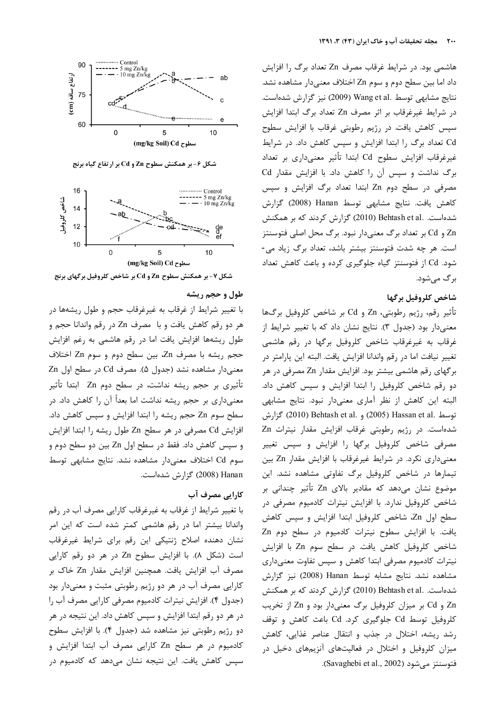

شکل ۶- بر همکنش سطوح Zn و Cd بر ارتفاع گیاه برنج



شکل ۷- بر همکنش سطوح Zn و Cd بر شاخص کلروفیل برگهای برنج

### طول و حجم ريشه

ا تغییر شرایط از غرقاب به غیرغرقاب حجم و طول ریشهها در ļ هر دو رقم كاهش يافت و با مصرف Zn در رقم واندانا حجم و طول ریشهها افزایش یافت اما در رقم هاشمی به رغم افزایش حجم ريشه با مصرف Zn، بين سطح دوم و سوم Zn اختلاف  $\rm Zn$  معنیدار مشاهده نشد (جدول ۵). مصرف Cd در سطح اول تأثیری بر حجم ریشه نداشت، در سطح دوم Zn ابتدا تأثیر معنىدارى بر حجم ريشه نداشت اما بعداً آن را كاهش داد. در سطح سوم Zn حجم ريشه را ابتدا افزايش و سپس كاهش داد. افزايش Cd مصرفي در هر سطح Zn طول ريشه را ابتدا افزايش و سپس كاهش داد. فقط در سطح اول Zn بين دو سطح دوم و سوم Cd اختلاف معنىدار مشاهده نشد. نتايج مشابهي توسط Hanan (2008) گزارش شدهاست.

## كارايي مصرف آب

ا تغییر شرایط از غرقاب به غیرغرقاب کارایی مصرف آب در رقم ļ واندانا بیشتر اما در رقم هاشمی کمتر شده است که این امر نشان دهنده اصلاح ژنتیکی این رقم برای شرایط غیرغرقاب است (شكل ٨). با افزايش سطوح Zn در هر دو رقم كارايي مصرف آب افزایش یافت. همچنین افزایش مقدار Zn خاک بر کارایی مصرف آب در هر دو رژیم رطوبتی مثبت و معنیدار بود (جدول ۴). افزایش نیترات کادمیوم مصرفی کارایی مصرف آب را در هر دو رقم ابتدا افزایش و سپس کاهش داد. این نتیجه در هر دو رژیم رطوبتی نیز مشاهده شد (جدول ۴). با افزایش سطوح کادمیوم در هر سطح Zn کارایی مصرف آب ابتدا افزایش و سپس کاهش یافت. این نتیجه نشان میدهد که کادمیوم در

هاشمی بود. در شرایط غرقاب مصرف Zn تعداد برگ را افزایش داد اما بین سطح دوم و سوم Zn اختلاف معنیدار مشاهده نشد. نتايج مشابهي توسط .Wang et al (2009) نيز گزارش شدهاست. در شرايط غيرغرقاب بر اثر مصرف Zn تعداد برگ ابتدا افزايش سپس كاهش يافت. در رژيم رطوبتي غرقاب با افزايش سطوح Cd تعداد برگ را ابتدا افزایش و سپس کاهش داد. در شرایط غیرغرقاب افزایش سطوح Cd ابتدا تأثیر معنیداری بر تعداد برگ نداشت و سپس آن را کاهش داد. با افزایش مقدار Cd مصرفی در سطح دوم Zn ابتدا تعداد برگ افزایش و سیس كاهش يافت. نتايج مشابهي توسط Hanan (2008) گزارش شدهاست. .Behtash et al (2010) گزارش کردند که بر همکنش و Cd بر تعداد برگ معنیدار نبود. برگ محل اصلی فتوسنتز  $\rm{Zn}$ ست. هر چه شدت فتوسنتز بیشتر باشد، تعداد برگ زیاد می-شود. Cd از فتوسنتز گیاه جلوگیری کرده و باعث کاهش تعداد برگ میشود.

## شاخص كلروفيل برگها

تأثير رقم، رژيم رطوبتي، Zn و Cd بر شاخص كلروفيل برگها معنىدار بود (جدول ٣). نتايج نشان داد كه با تغيير شرايط از غرقاب به غیرغرقاب شاخص کلروفیل برگها در رقم هاشمی تغيير نيافت اما در رقم واندانا افزايش يافت. البته اين پارامتر در بر گهای رقم هاشمی بیشتر بود. افزایش مقدار Zn مصرفی در هر دو رقم شاخص کلروفیل را ابتدا افزایش و سپس کاهش داد. لبته این کاهش از نظر آماری معنیدار نبود. نتایج مشابهی توسط .Hassan et al (2010) Behtash et al. و .2010) Behtash et al شدهاست. در رژیم رطوبتی غرقاب افزایش مقدار نیترات Zn مصرفی شاخص کلروفیل برگها را افزایش و سپس تغییر معنىدارى نكرد. در شرايط غيرغرقاب با افزايش مقدار Zn بين نیمارها در شاخص کلروفیل برگ تفاوتی مشاهده نشد. این موضوع نشان میدهد که مقادیر بالای Zn تأثیر چندانی بر شاخص کلروفیل ندارد. با افزایش نیترات کادمیوم مصرفی در سطح اول Zn، شاخص كلروفيل ابتدا افزايش و سپس كاهش بافت. با افزایش سطوح نیترات کادمیوم در سطح دوم Zn شاخص كلروفيل كاهش يافت. در سطح سوم Zn با افزايش نیترات کادمیوم مصرفی ابتدا کاهش و سپس تفاوت معنیداری مشاهده نشد. نتايج مشابه توسط Hanan (2008) نيز گزارش شدهاست. .Behtash et al (2010) گزارش کردند که بر همکنش و Cd بر میزان کلروفیل برگ معنیدار بود و Zn از تخریب Zn كلروفيل توسط Cd جلوگيرى كرد. Cd باعث كاهش و توقف رشد ریشه، اختلال در جذب و انتقال عناصر غذایی، کاهش میزان کلروفیل و اختلال در فعالیتهای آنزیمهای دخیل در فتوسنتز مى شود (Savaghebi et al., 2002).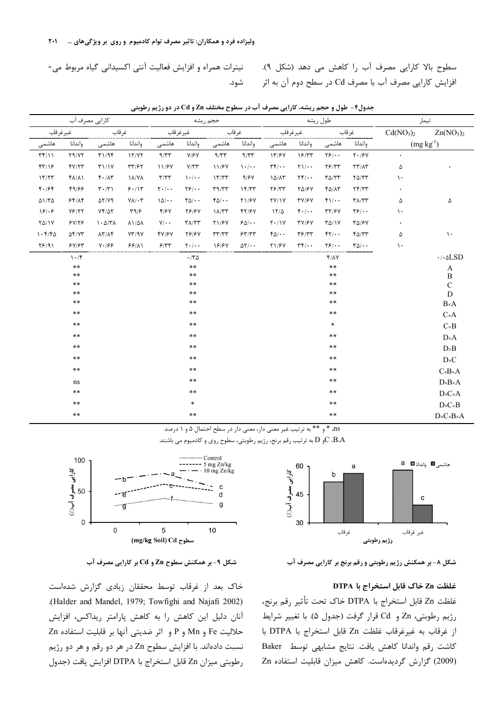نیترات همراه و افزایش فعالیت آنتی اکسیدانی گیاه مربوط می-شود. سطوح بالا كارايي مصرف آب را كاهش مي دهد (شكل ٩). فزایش کارایی مصرف آب با مصرف Cd در سطح دوم آن به اثر

|                               |              | كارايي مصرف آب                        |                               |                                   |                                          | حجم ريشه            |                             |               |                                   | طول ريشه                        | تيمار                                                     |                                   |                                         |
|-------------------------------|--------------|---------------------------------------|-------------------------------|-----------------------------------|------------------------------------------|---------------------|-----------------------------|---------------|-----------------------------------|---------------------------------|-----------------------------------------------------------|-----------------------------------|-----------------------------------------|
| غيرغرقاب                      |              | غرقاب                                 |                               |                                   | غيرغرقاب                                 |                     | غرقاب                       |               | غيرغرقاب                          |                                 | غرقاب                                                     | Cd(NO <sub>3</sub> ) <sub>2</sub> | Zn(NO <sub>3</sub> ) <sub>2</sub>       |
| هاشمى                         | واندانا      | هاشمى                                 | واندانا                       | هاشمى                             | واندانا                                  | هاشمى               | واندانا                     | هاشمى         | واندانا                           | هاشمى                           | واندانا                                                   |                                   | $(mg kg-1)$                             |
| $\Upsilon(\gamma)$            | Y9/YY        | T1/9F                                 | 17/77                         | 9/TT                              | $Y/\mathcal{F}Y$                         | 9/TT                | 9/TT                        | 17/8V         | 19/77                             | $\frac{1}{2}$                   | $Y \cdot 19Y$                                             | $\bullet$                         |                                         |
| FT/19                         | fV/Y         | T1/1Y                                 | $\tau\tau$ /۶۲                | 11/۶٧                             | $Y/\tau\tau$                             | 11/۶۷               | $\mathcal{U} \cdot / \cdot$ | $\mathbf{r}$  | $\Upsilon$ )/ $\cdot$             | YF/YY                           | $\Upsilon \Upsilon / \Lambda \Upsilon$                    | ۵                                 |                                         |
| 1777                          | <b>FA/A)</b> | $f \cdot / \Lambda f$                 | <b>17/AV</b>                  | $\mathbf{r}/\mathbf{r}\mathbf{r}$ | $\cdot$ $\cdot$ $\cdot$                  | 17/T                | 9/8V                        | 10/17         | $\Upsilon \Upsilon / \cdot \cdot$ | $\Gamma \Delta/\Gamma \Upsilon$ | $Y\Delta/YY$                                              | $\mathcal{L}$                     |                                         |
| 4.184                         | 49/55        | $\mathbf{r} \cdot \mathbf{r}$         | 9.11                          | $\mathbf{Y} \cdot / \cdot \cdot$  | Yf(x)                                    | T9/TT               | 15/TT                       | YF/YY         | <b>TA/FY</b>                      | $f\Delta/\Lambda\tau$           | Yf/Y                                                      | $\bullet$                         |                                         |
| $\Delta$ \/ $\Gamma$ $\Delta$ | 55/10        | $\Delta Y/Y9$                         | $Y\Lambda/\cdot\tau$          | 10/4                              | $\Gamma \Delta / \cdot \cdot$            | $f_0/\cdots$        | <b>T1/۶</b>                 | YY/1Y         | <b>TV/۶Y</b>                      | $f\$ .                          | $\mathsf{r}\wedge\mathsf{l}\mathsf{r}\mathsf{r}$          | ۵                                 | ۵                                       |
| 181.8                         | YF/YY        | $Yf/\Delta Y$                         | $\Upsilon \eta / \epsilon$    | Y/Y                               | <b>78/8V</b>                             | $1\lambda/\tau\tau$ | YY/9Y                       | $17/\Delta$   | $f \cdot / \cdot$                 | $\tau\tau$ /۶۷                  | $\mathbf{r}$ $\mathbf{s}$ <sub><math>\cdot</math></sub> . | $\mathcal{L}$                     |                                         |
| $Y\Delta/Y$                   | 5Y/55        | $1 - \Delta/T$                        | $\lambda$ \ / $\Delta\lambda$ | $Y/\cdot$ .                       | $\mathbf{Y}\Lambda/\mathbf{Y}\mathbf{Y}$ | <b>TI/FV</b>        | $50!\cdot$                  | $Y \cdot / Y$ | <b>TV/۶Y</b>                      | $T\Delta/1V$                    | <b>٣۵/۶٧</b>                                              | ٠                                 |                                         |
| 1.515                         | $\Delta f/Y$ | $\lambda \Upsilon / \lambda \Upsilon$ | YY/9Y                         | YY/YY                             | <b>TS/SV</b>                             | $\tau\tau/\tau\tau$ | 55/57                       | $f_0/\cdots$  | $\mathbf{r}$ $\mathbf{r}$         | $YY/\cdot$                      | $f\Delta/TT$                                              | ۵                                 | $\mathcal{N}$                           |
| 18/91                         | 5Y/5Y        | V.199                                 | 55/11                         | 5/77                              | $\mathbf{Y} \cdot / \cdot \cdot$         | 18187               | $\Delta Y/\cdot$ .          | <b>T1/۶</b>   | $\tau \tau / \cdot \cdot$         | $\frac{1}{2}$                   | $\Gamma\Delta/\cdot\cdot$                                 | $\lambda$                         |                                         |
|                               | 1.7          |                                       |                               |                                   | .70                                      |                     |                             |               |                                   | $f/ \Lambda V$                  |                                                           |                                   | $\cdot$ / $\cdot$ $\triangle$ SD        |
|                               | $**$         |                                       |                               |                                   | $\star\star$                             |                     |                             |               |                                   | $\ast\ast$                      |                                                           |                                   | A                                       |
|                               | **           |                                       |                               |                                   | $\star\star$                             |                     |                             |               |                                   | $***$                           |                                                           |                                   | $\, {\bf B}$                            |
|                               | $* *$        |                                       |                               |                                   | $***$                                    |                     |                             |               |                                   | $* *$                           |                                                           |                                   | $\overline{C}$                          |
|                               | **           |                                       |                               |                                   | $***$                                    |                     |                             |               |                                   | $* *$                           |                                                           |                                   | ${\bf D}$                               |
|                               | $* *$        |                                       |                               |                                   | $***$                                    |                     |                             |               |                                   | $***$                           |                                                           |                                   | $B \times A$                            |
|                               | $* *$        |                                       |                               |                                   | $***$                                    |                     |                             |               |                                   | $* *$                           |                                                           |                                   | $C \times A$                            |
|                               | $* *$        |                                       |                               |                                   | $***$                                    |                     |                             |               |                                   | $\ast$                          |                                                           |                                   | $\mathbf{C}\!\!\times\!\!\mathbf{B}$    |
|                               | $* *$        |                                       |                               |                                   | $***$                                    |                     |                             |               |                                   | $* *$                           |                                                           |                                   | $D \times A$                            |
|                               | $* *$        |                                       |                               |                                   | $***$                                    |                     |                             |               |                                   | $* *$                           |                                                           |                                   | $D \times B$                            |
|                               | $* *$        |                                       |                               |                                   | $***$                                    |                     |                             |               |                                   | $* *$                           |                                                           |                                   | $\mathbf{D}{\mathsf{\times}}\mathbf{C}$ |
|                               | $* *$        |                                       |                               |                                   | $***$                                    |                     |                             |               |                                   | $* *$                           |                                                           |                                   | $C \times B \times A$                   |
|                               | ns           |                                       |                               |                                   | $***$                                    |                     |                             |               |                                   | $* *$                           |                                                           |                                   | $D \times B \times A$                   |
|                               | $* *$        |                                       |                               |                                   | $***$                                    |                     |                             |               |                                   | $* *$                           |                                                           |                                   | $D \times C \times A$                   |
|                               | $* *$        |                                       |                               |                                   | $\ast$                                   |                     |                             |               |                                   | $* *$                           |                                                           |                                   | $D \times C \times B$                   |
|                               | $* *$        |                                       |                               |                                   | $***$                                    |                     |                             |               |                                   | $* *$                           |                                                           |                                   | $D \times C \times B \times A$          |

جدول۴ - طول و حجم ریشه، کارایی مصرف آب در سطوح مختلف Zn و Cd در دو رژیم رطوبتی

ns، \* و \*\* به ترتيب غير معني دار، معني دار در سطح احتمال 1و 5 درصد

و  $\rm D$  به ترتيب رقم برنج، رژيم رطوبتي، سطوح روي و كادميوم مي باشند. $\rm D$  و $\rm C$  ، $\rm B$ ، $\rm A$ 



شکل ۸- بر همکنش رژیم رطوبتی و رقم برنج بر کارایی مصرف آب

### غلظت Zn خاک قابل استخراج با DTPA

فلظت Zn قابل استخراج با DTPA خاک تحت تأثير رقم برنج، رژيم رطوبتي، Zn و Cd قرار گرفت (جدول ۵). با تغيير شرايط ز غرقاب به غيرغرقاب غلظت Zn قابل استخراج با DTPA با كاشت رقم واندانا كاهش يافت. نتايج مشابهي توسط Baker (2009) گزارش گردیدهاست. کاهش میزان قابلیت استفاده Zn



 #\$ .)' + Cd Zn ^"\_G W6HR/ + [H1  #\$ .)' + 23+ \@)

خاک بعد از غرقاب توسط محققان زیادی گزارش شدهاست .(Halder and Mandel, 1979; Towfighi and Najafi 2002) آنان دلیل این کاهش را به کاهش پارامتر ریداکس، افزایش حلاليت Fe و Mn و P و اثر ضديتي آنها بر قابليت استفاده Zn نسبت دادهاند. با افزایش سطوح Zn در هر دو رقم و هر دو رژیم رطوبتي ميزان Zn قابل استخراج با DTPA افزايش يافت (جدول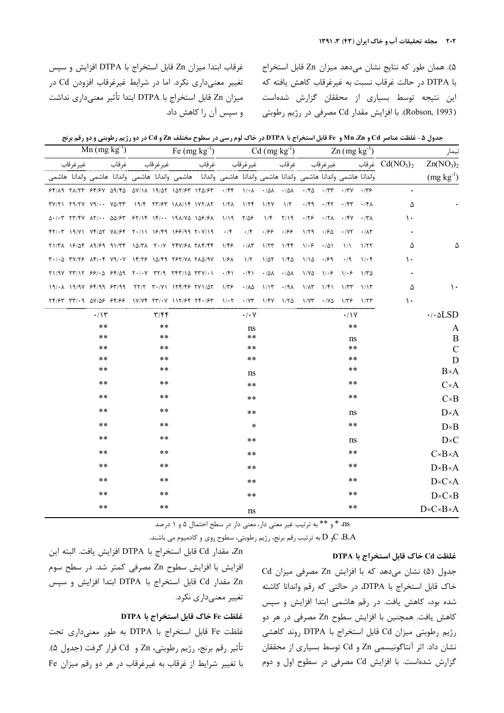غرقاب ابتدا ميزان Zn قابل استخراج با DTPA افزايش و سپس تغییر معنیداری نکرد. اما در شرایط غیرغرقاب افزودن Cd در ميزان Zn قابل استخراج با DTPA ابتدا تأثير معنىدارى نداشت و سپس آن را کاهش داد.

۵). همان طور که نتایج نشان میدهد میزان Zn قابل استخراج ا DTPA در حالت غرقاب نسبت به غيرغرقاب كاهش يافته كه ł ین نتیجه توسط بسیاری از محققان گزارش شدهاست (Robson, 1993). با افزايش مقدار Cd مصرفي در رژيم رطوبتي

| جدول ۵- غلظت عناصر Cd و Mn ،Zn و Fe قابل استخراج با DTPA در خاک لوم رسی در سطوح مختلف Zn و Cd در دو رژيم رطوبتي و دو رقم برنج |  |  |  |
|-------------------------------------------------------------------------------------------------------------------------------|--|--|--|
|-------------------------------------------------------------------------------------------------------------------------------|--|--|--|

|                                                                                                                                                                                                                                                                                                                                                                                                                                       | $\overline{Mn}$ (mg kg <sup>-1</sup> ) |                |                         |  | Fe $(mg kg^{-1})$ Cd $(mg kg^{-1})$ Zn $(mg kg^{-1})$ |                                 |              |      |                                                                                                                                                                                    |                |                        |      |                                                                                    |                                   |
|---------------------------------------------------------------------------------------------------------------------------------------------------------------------------------------------------------------------------------------------------------------------------------------------------------------------------------------------------------------------------------------------------------------------------------------|----------------------------------------|----------------|-------------------------|--|-------------------------------------------------------|---------------------------------|--------------|------|------------------------------------------------------------------------------------------------------------------------------------------------------------------------------------|----------------|------------------------|------|------------------------------------------------------------------------------------|-----------------------------------|
| غيرغرقاب                                                                                                                                                                                                                                                                                                                                                                                                                              |                                        | غيرغرقاب غرقاب |                         |  |                                                       |                                 |              |      |                                                                                                                                                                                    |                |                        |      | غرقاب فرقاب غيرغرقاب غرقاب غيرغرقاب غرقاب فرقاب $\operatorname{Cd}(\text{NO}_3)_2$ | Zn(NO <sub>3</sub> ) <sub>2</sub> |
| واندانا هاشمي واندانا هاشمي واندانا هاشمي واندانا هاشمي واندانا هاشمي واندانا هاشمي واندانا هاشمي واندانا هاشمي                                                                                                                                                                                                                                                                                                                       |                                        |                |                         |  |                                                       |                                 |              |      |                                                                                                                                                                                    |                |                        |      |                                                                                    | $(mg kg^{-1})$                    |
| $95/19$ $71/77$ $95/9$ $29/16$ $20/11$ $19/27$ $12/97$ $17/2/97$ $\cdot$ $156$ $1/10$ $\cdot$ $101$ $\cdot$ $100$ $\cdot$ $150$ $\cdot$ $177$ $\cdot$ $179$ $\cdot$ $179$                                                                                                                                                                                                                                                             |                                        |                |                         |  |                                                       |                                 |              |      |                                                                                                                                                                                    |                |                        |      |                                                                                    |                                   |
| $TY/Y1$ $Y4/YY$ $Y4/\cdot \cdot$ $Y\Delta/TT$ $19/Y$ $YY/Y$ $1\Delta/TF$ $1\Delta/TF$ $1\Delta$ $1\Delta/TF$ $1\Delta/TF$ $1\Delta/TY$ $1\Delta/TF$                                                                                                                                                                                                                                                                                   |                                        |                |                         |  |                                                       |                                 |              |      | $\cdot$ /۴۹ $\cdot$ /۴۲ $\cdot$ /۴۳ $\cdot$ /۴۸                                                                                                                                    |                |                        |      | ۵                                                                                  |                                   |
| $\Delta$ ./. TT/FV $\Delta$ T/ $\Delta\Delta$ / $\epsilon$ T $\epsilon$ $\delta$ T/1F $\delta$ 1F/ $\delta$ 19 $\Delta$                                                                                                                                                                                                                                                                                                               |                                        |                |                         |  |                                                       |                                 | $1/f$ $7/19$ |      | $\cdot$ /۲۶ $\cdot$ /۲۸ $\cdot$ /۴۷ $\cdot$ /۳۸                                                                                                                                    |                |                        |      | ١.                                                                                 |                                   |
| $f(Y) \cdot Y$ 19/ $Y$ $YF/\Delta Y$ $Y\Lambda/\mathcal{F}$ $Y \cdot /11$ 19/ $f$ 9 199/99 $Y \cdot Y/19$ $Y/5$ $Y/6$                                                                                                                                                                                                                                                                                                                 |                                        |                |                         |  |                                                       |                                 | $.199 - 199$ |      | $1/59$ $-150$ $-175$ $-115$                                                                                                                                                        |                |                        |      |                                                                                    |                                   |
| $Y1/T$ A 18/۵۴ $\lambda$ 9/89 91/٣۴ 1۵/٣٨ 7.1V 74V/8A 7A4/44 1/48                                                                                                                                                                                                                                                                                                                                                                     |                                        |                |                         |  |                                                       | $\cdot$ / $\wedge$ $\breve{\ }$ | 1/5          | 1/ff | $1/\cdot 5$                                                                                                                                                                        | $\cdot/\Delta$ | $\frac{1}{2}$          | 1/77 | ۵                                                                                  |                                   |
| $T^{\bullet}/\cdot$ $\Delta$ $T^{\prime}/\tau$ $T^{\prime}/\cdot$ $T^{\prime}/\cdot$ $T^{\prime}/\cdot$ $T^{\prime}/\cdot$ $T^{\prime}/\cdot$ $T^{\prime}/\cdot$ $T^{\prime}/\cdot$ $T^{\prime}/\cdot$ $T^{\prime}/\cdot$ $T^{\prime}/\cdot$ $T^{\prime}/\cdot$ $T^{\prime}/\cdot$ $T^{\prime}/\cdot$ $T^{\prime}/\cdot$ $T^{\prime}/\cdot$ $T^{\prime}/\cdot$ $T^{\prime}/\cdot$ $T^{\prime}/\cdot$ $T^{\prime}/\cdot$ $T^{\prime}/$ |                                        |                |                         |  |                                                       |                                 |              |      | $1/10$ $1/99$                                                                                                                                                                      |                | $\cdot$ /9 $1/\cdot$ ۴ |      | ١.                                                                                 |                                   |
|                                                                                                                                                                                                                                                                                                                                                                                                                                       |                                        |                |                         |  |                                                       |                                 |              |      |                                                                                                                                                                                    |                |                        |      |                                                                                    |                                   |
| $19/ \lambda$ $19/9$ $\gamma$ $95/99$ $55/99$ $55/19$ $55/10$ $75/10$ $175/10$ $57/10$ $175/10$                                                                                                                                                                                                                                                                                                                                       |                                        |                |                         |  |                                                       |                                 |              |      | $\cdot/\lambda$ $\Delta$ $\lambda/\lambda$ $\tau$ $\lambda/\lambda$ $\lambda/\lambda$ $\tau$ $\lambda/\lambda$ $\lambda/\lambda$ $\lambda/\lambda$ $\tau$ $\lambda/\lambda$ $\tau$ |                |                        |      | ۵                                                                                  | ۱.                                |
| $YF/5F$ $YY' + 3$ $\Delta Y/\Delta F$ $5F/5F$ $\Delta Y/YF$ $XY' + Y \Delta Y/SF$ $YF + \beta F$ $\Delta Y + Y \Delta Y/SF$ $\Delta Y/Y$ $\Delta Y/SF$ $\Delta Y/Y$ $\Delta Y/SF$ $\Delta Y/Y$                                                                                                                                                                                                                                        |                                        |                |                         |  |                                                       |                                 |              |      |                                                                                                                                                                                    |                |                        |      | $\mathcal{L}$                                                                      |                                   |
|                                                                                                                                                                                                                                                                                                                                                                                                                                       | $\cdot$ /۱۳                            |                | $\mathbf{r}/\mathbf{r}$ |  |                                                       | $\cdot/\cdot$ Y                 |              |      |                                                                                                                                                                                    |                | $\cdot$ /\Y            |      |                                                                                    | $\cdot/\cdot$ $\Delta$ LSD        |
|                                                                                                                                                                                                                                                                                                                                                                                                                                       | $***$                                  |                | $***$                   |  |                                                       | ns                              |              |      |                                                                                                                                                                                    |                | $***$                  |      |                                                                                    | A                                 |
|                                                                                                                                                                                                                                                                                                                                                                                                                                       | $***$                                  |                | $***$                   |  |                                                       | $***$                           |              |      |                                                                                                                                                                                    |                | ns                     |      |                                                                                    | B                                 |
|                                                                                                                                                                                                                                                                                                                                                                                                                                       | $***$<br>$***$                         |                | $***$<br>$***$          |  |                                                       | $***$<br>$***$                  |              |      |                                                                                                                                                                                    |                | $***$<br>$***$         |      |                                                                                    | $\mathcal{C}$<br>D                |
|                                                                                                                                                                                                                                                                                                                                                                                                                                       | $***$                                  |                | $***$                   |  |                                                       | ns                              |              |      |                                                                                                                                                                                    |                | $***$                  |      |                                                                                    | $B \times A$                      |
|                                                                                                                                                                                                                                                                                                                                                                                                                                       | $***$                                  |                | $***$                   |  |                                                       | $***$                           |              |      |                                                                                                                                                                                    |                | $***$                  |      |                                                                                    | $C \times A$                      |
|                                                                                                                                                                                                                                                                                                                                                                                                                                       | $***$                                  |                | $***$                   |  |                                                       | $***$                           |              |      |                                                                                                                                                                                    |                | **                     |      |                                                                                    | $C \times B$                      |
|                                                                                                                                                                                                                                                                                                                                                                                                                                       | $***$                                  |                | $***$                   |  |                                                       | $***$                           |              |      |                                                                                                                                                                                    |                | ns                     |      |                                                                                    | $D \times A$                      |
|                                                                                                                                                                                                                                                                                                                                                                                                                                       | $***$                                  |                | $***$                   |  |                                                       | $\ast$                          |              |      |                                                                                                                                                                                    |                | $***$                  |      |                                                                                    | $D \times B$                      |
|                                                                                                                                                                                                                                                                                                                                                                                                                                       | $***$                                  |                | **                      |  |                                                       | **                              |              |      |                                                                                                                                                                                    |                | ns                     |      |                                                                                    | $D \times C$                      |
|                                                                                                                                                                                                                                                                                                                                                                                                                                       | $***$                                  |                | $***$                   |  |                                                       | $***$                           |              |      |                                                                                                                                                                                    |                | $***$                  |      |                                                                                    | $C \times B \times A$             |
|                                                                                                                                                                                                                                                                                                                                                                                                                                       | $***$                                  |                | **                      |  |                                                       | **                              |              |      |                                                                                                                                                                                    |                | **                     |      |                                                                                    | $D \times B \times A$             |
|                                                                                                                                                                                                                                                                                                                                                                                                                                       | $***$                                  |                | $***$                   |  |                                                       | $***$                           |              |      |                                                                                                                                                                                    |                | $***$                  |      |                                                                                    | $D \times C \times A$             |
|                                                                                                                                                                                                                                                                                                                                                                                                                                       | $***$                                  |                | $***$                   |  |                                                       | $***$                           |              |      |                                                                                                                                                                                    |                | $***$                  |      |                                                                                    | $D \times C \times B$             |
|                                                                                                                                                                                                                                                                                                                                                                                                                                       | **                                     |                | **                      |  |                                                       |                                 |              |      |                                                                                                                                                                                    |                | **                     |      |                                                                                    | $D \times C \times B \times A$    |
|                                                                                                                                                                                                                                                                                                                                                                                                                                       |                                        |                |                         |  |                                                       | ns                              |              |      |                                                                                                                                                                                    |                |                        |      |                                                                                    |                                   |

ns، \* و \*\* به ترتيب غير معنى دار، معنى دار در سطح احتمال ۵ و ۱ درصد

و  $\rm D$  به ترتيب رقم برنج، رژيم رطوبتي، سطوح روي و كادميوم مي باشند. $\rm C ~BA$ 

### DTPA فاك قابل استخراج با

جدول (۵) نشان میدهد که با افزایش Zn مصرفی میزان Cd خاک قابل استخراج با DTPA، در حالتی که رقم واندانا کاشته شده بود، کاهش یافت. در رقم هاشمی ابتدا افزایش و سپس كاهش يافت. همچنين با افزايش سطوح Zn مصرفي در هر دو رژيم رطوبتي ميزان Cd قابل استخراج با DTPA روند كاهشي نشان داد. اثر آنتاگونیسمی Zn و Cd توسط بسیاری از محققان گزارش شدهاست. با افزایش Cd مصرفی در سطوح اول و دوم

Zn، مقدار Cd قابل استخراج با DTPA افزايش يافت. البته اين افزايش با افزايش سطوح Zn مصرفي كمتر شد. در سطح سوم Zn مقدار Cd قابل استخراج با DTPA ابتدا افزایش و سپس تغییر معنیداری نکرد.

### غلظت Fe خاک قابل استخراج با DTPA

غلظت Fe قابل استخراج با DTPA به طور معنىدارى تحت تأثير رقم برنج، رژيم رطوبتي، Zn و Cd قرار گرفت (جدول ۵). ا تغییر شرایط از غرقاب به غیرغرقاب در هر دو رقم میزان Fe ļ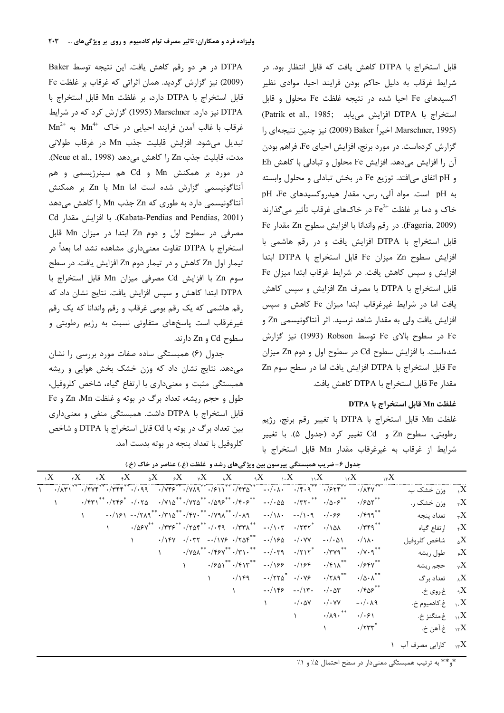قابل استخراج با DTPA كاهش يافت كه قابل انتظار بود. در شرایط غرقاب به دلیل حاکم بودن فرایند احیا، موادی نظیر کسیدهای Fe احیا شده در نتیجه غلظت Fe محلول و قابل (Patrik et al., 1985; افزايش مىيابد) DTPA بستخراج با I, ( 2009) Baker أخيراً Baker (2009) نيز چنين نتيجهاي ,ا گزارش کردهاست. در مورد برنج، افزایش احیای Fe، فراهم بودن آن را افزایش میدهد. افزایش Fe محلول و تبادلی با کاهش Eh و pH اتفاق میافتد. توزیع Fe در بخش تبادلی و محلول وابسته به pH است. مواد آلی، رس، مقدار هیدروکسیدهای pH ،Fe خاک و دما بر غلظت  $\rm Fe^{2+}$  در خاکهای غرقاب تأثیر میگذارند Fe وFageria, 2009). در رقم واندانا با افزايش سطوح Zn مقدار Fe قابل استخراج با DTPA افزایش یافت و در رقم هاشمی با فزايش سطوح Zn ميزان Fe قابل استخراج با DTPA ابتدا فزایش و سپس کاهش یافت. در شرایط غرقاب ابتدا میزان Fe قابل استخراج با DTPA با مصرف Zn افزایش و سپس کاهش بافت اما در شرایط غیرغرقاب ابتدا میزان Fe کاهش و سپس فزايش يافت ولي به مقدار شاهد نرسيد. اثر آنتاگونيسمي Zn و Fe در سطوح بالای Fe توسط Robson (1993) نیز گزارش شدهاست. با افزایش سطوح Cd در سطوح اول و دوم Zn میزان Fe قابل استخراج با DTPA افزايش يافت اما در سطح سوم Zn مقدار Fe قابل استخراج با DTPA كاهش يافت.

## غلظت Mn قابل استخراج با DTPA

فلظت Mn قابل استخراج با DTPA با تغيير رقم برنج، رژيم رطوبتي، سطوح Zn و Cd تغيير كرد (جدول ۵). با تغيير شرايط از غرقاب به غيرغرقاب مقدار Mn قابل استخراج با

DTPA در هر دو رقم کاهش یافت. این نتیجه توسط Baker (2009) نیز گزارش گردید. همان اثراتی که غرقاب بر غلظت Fe قابل استخراج با DTPA دارد، بر غلظت Mn قابل استخراج با DTPA نیز دارد. Marschner (1995) گزارش کرد که در شرایط  $\text{Mn}^{2+}$  فرقاب با غالب آمدن فرايند احيايي در خاک  $\text{Mn}^{4+}$  به تبديل مي شود. افزايش قابليت جذب Mn در غرقاب طولاني مدت، قابليت جذب Zn را كاهش مى دهد (Neue et al., 1998).  $\epsilon$ در مورد بر همکنش Mn و Cd هم سینرژیسمی و هم أنتاگونيسمى گزارش شده است اما Mn با Zn بر همكنش آنتاگونیسمی دارد به طوری که Zn جذب Mn را کاهش میدهد Cd g4 A ) .(Kabata-Pendias and Pendias, 2001) مصرفی در سطوح اول و دوم Zn ابتدا در میزان Mn قابل استخراج با DTPA تفاوت معنیداری مشاهده نشد اما بعداً در تیمار اول Zn کاهش و در تیمار دوم Zn افزایش یافت. در سطح سوم Zn با افزایش Cd مصرفی میزان Mn قابل استخراج با DTPA ابتدا كاهش و سپس افزايش يافت. نتايج نشان داد كه رقم هاشمی که یک رقم بومی غرقاب و رقم واندانا که یک رقم غیرغرقاب است پاسخهای متفاوتی نسبت به رژیم رطوبتی و  $Cd$  سطوح Cd و Zn دارند.

جدول (۶) همبستگی ساده صفات مورد بررسی را نشان میدهد. نتایج نشان داد که وزن خشک بخش هوایی و ریشه همبستگی مثبت و معنیداری با ارتفاع گیاه، شاخص کلروفیل، طول و حجم ريشه، تعداد برگ در بوته و غلظت Zn ،Mn و Fe قابل استخراج با DTPA داشت. همبستگی منفی و معنیداری بین تعداد برگ در بوته با Cd قابل استخراج با DTPA و شاخص كلروفيل با تعداد پنجه در بوته بدست آمد.

|           |  |  |  |  | بحدون / العربيب سيستعلي پيرسون بين وير ڪي سي رسد و العظم (ع)، معاصر در الله جي.                                                                                                                                                                                               |                       |                              |                                                                                                                                                                                                           |                                           |  |
|-----------|--|--|--|--|-------------------------------------------------------------------------------------------------------------------------------------------------------------------------------------------------------------------------------------------------------------------------------|-----------------------|------------------------------|-----------------------------------------------------------------------------------------------------------------------------------------------------------------------------------------------------------|-------------------------------------------|--|
|           |  |  |  |  |                                                                                                                                                                                                                                                                               |                       |                              | $X_{11}$ $X_{21}$ $X_{31}$ $X_{42}$ $X_{53}$ $X_{64}$ $X_{75}$ $X_{86}$ $X_{96}$ $X_{10}$ $X_{11}$ $X_{12}$ $X_{13}$                                                                                      |                                           |  |
| $\lambda$ |  |  |  |  |                                                                                                                                                                                                                                                                               |                       |                              |                                                                                                                                                                                                           | $\lambda_i$ وزن خشک ب. $X$                |  |
|           |  |  |  |  | $\cdot$ /٢٣١ <sup>**</sup> $\cdot$ /٢۴۶ <sup>*</sup> $\cdot$ / $\cdot$ ۲۵ $\cdot$ /٧١۵ <sup>**</sup> $\cdot$ /٧٢۵ <sup>**</sup> $\cdot$ /۵۹۶ <sup>**</sup> $\cdot$ /۴ $\cdot$ ۶ <sup>**</sup> $\cdot$ -/ $\cdot$ ۵۵ $\cdot$ /٣٢ $\cdot$ ** $\cdot$ /۵ $\cdot$ ۶ <sup>**</sup> |                       |                              | $\cdot$ / $\cdot$ ۵۲ $^{\ast\ast}$                                                                                                                                                                        | $\lambda_{\tau}$ وزن خشک ر $X$            |  |
|           |  |  |  |  | $-1/151 -1/719$ ** $-1/810$ ** $-1/910$ ** $-1/991$ ** $-1/1091$                                                                                                                                                                                                              |                       |                              | $\cdot$ /۴۹۹ $^{**}$                                                                                                                                                                                      | ۳ $\rm X$ تعداد ينجه $\rm X$              |  |
|           |  |  |  |  |                                                                                                                                                                                                                                                                               |                       |                              | $\cdot/\Delta \rho V^{**}$ $\cdot$ /٣٣۶ <sup>**</sup> $\cdot$ /٢ $\Delta f^{**}$ $\cdot$ /٣٣ $\Lambda^{**}$ $\cdot$ /١٠٣ $\cdot$ /٣٣٢ <sup>*</sup> $\cdot$ /١ $\Delta \Lambda$ $\cdot$ /٣۴٩ <sup>**</sup> | $\lambda_{\tau}$ ا <sub>ر</sub> تفاع گیاه |  |
|           |  |  |  |  | $\cdot$ /14Y $\cdot$ / $\cdot$ 4Y $\cdot$ /1YS $\cdot$ /704 <sup>**</sup> $\cdot$ /1S0 $\cdot$ / $\cdot$ YY $\cdot$ / $\cdot$ 01                                                                                                                                              |                       |                              | $\cdot/\lambda$                                                                                                                                                                                           | ناخص كلروفيل $X$                          |  |
|           |  |  |  |  | $\cdot$ /YA $\Lambda^{**}$ $\cdot$ /FSV** $\cdot$ /۳۱ $\cdot$ ** $ \cdot$ / $\cdot$ ۳۹ $\cdot$ /۲۱۲* $\cdot$ /۳۷۹**                                                                                                                                                           |                       |                              | $\cdot/\gamma \cdot \gamma^{**}$                                                                                                                                                                          | و طول ريشه $X$                            |  |
|           |  |  |  |  | $\cdot$ / $\frac{1}{2}$ \/\\text{ \text{ \text{ \text{ \text{ \text{ \text{ \text{ \text{ \text{ \text{ \text{ \text{ \text{ \text{ \text{ \text{ \text{ \text{ \text{ \text{ \text{ \text{ \text{ \text{ \text{ \text{ \text{ \text{ \                                       |                       |                              | $\cdot$ / $\gamma$ ۴۷**                                                                                                                                                                                   | $X^{\mathcal{A}}$ حجم ریشه                |  |
|           |  |  |  |  | $\cdot$ /149 - $\cdot$ /77 $\delta$ <sup>*</sup> $\cdot$ / $\cdot$ <i>Y9</i> $\cdot$ /719 <sup>**</sup>                                                                                                                                                                       |                       |                              | $\cdot/\vartriangle \cdot \wedge^{\ast\ast}$                                                                                                                                                              | د تعداد برگ $X$                           |  |
|           |  |  |  |  | $-1159 - 117$                                                                                                                                                                                                                                                                 |                       | $\cdot/\cdot$ are            | $\cdot$ /۴۵۶ $^{\ast\ast}$                                                                                                                                                                                | $X_e$ غ.روی خ $X$                         |  |
|           |  |  |  |  |                                                                                                                                                                                                                                                                               | $\cdot/\cdot$ ay      |                              | $\cdot/\cdot \text{YY}$ $-\cdot/\cdot \text{A}$                                                                                                                                                           | . خ.کادميوم خ. $X$                        |  |
|           |  |  |  |  |                                                                                                                                                                                                                                                                               | $\Delta$ and $\Delta$ | $\cdot/\lambda$ ٩ $\cdot$ ** | .4.91                                                                                                                                                                                                     | $X_{11}$ غ.منگنز خ.                       |  |
|           |  |  |  |  |                                                                                                                                                                                                                                                                               |                       |                              | $\cdot$ /۲۳۳ $^*$                                                                                                                                                                                         | $\lambda_{\gamma\prime}$ غ.آهن خ.         |  |

جدول ۶- ضریب همبستگی پیرسون بین ویژگیهای رشد و غلظت (غ.) عناصر در خاک (خ.)

 $\gamma$ ا کارایی مصرف آب  $X$ 

\*و\*\* به ترتیب همبستگی معنیدار در سطح احتمال ۵٪ و ۱٪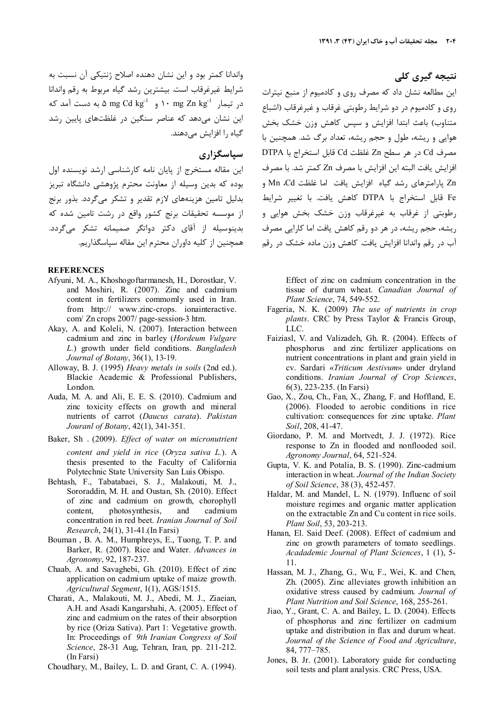واندانا کمتر بود و این نشان دهنده اصلاح ژنتیکی آن نسبت به شرايط غيرغرقاب است. بيشترين رشد گياه مربوط به رقم واندانا در تیمار 1۰ mg Zn kg<sup>-1</sup> و 2m M mg Cd kg<sup>-1</sup> به دست آمد که این نشان میدهد که عناصر سنگین در غلظتهای پایین رشد گیاہ ,ا افزایش مے دھند.

## سیاسگزاری

این مقاله مستخرج از پایان نامه کارشناسی ارشد نویسنده اول بوده که بدین وسیله از معاونت محترم پژوهشی دانشگاه تبریز بدلیل تامین هزینههای لازم تقدیر و تشکر مے گردد. بذور برنج از موسسه تحقیقات برنج کشور واقع در رشت تامین شده که ۔<br>بدینوسیله از آقای دکتر دواتگر صمیمانه تشکر مے *گ*ردد. همچنین از کلیه داوران محترم این مقاله سیاسگذاریم.

#### **REFERENCES**

- Afyuni, M. A., Khoshogoftarmanesh, H., Dorostkar, V. and Moshiri, R. (2007). Zinc and cadmium content in fertilizers commomly used in Iran. from http:// www.zinc-crops. ionainteractive. com/ Zn crops 2007/ page-session-3 htm.
- Akay, A. and Koleli, N. (2007). Interaction between cadmium and zinc in barley (Hordeum Vulgare L.) growth under field conditions. Bangladesh Journal of Botany, 36(1), 13-19.
- Alloway, B. J. (1995) Heavy metals in soils (2nd ed.). Blackie Academic & Professional Publishers, London.
- Auda, M. A. and Ali, E. E. S. (2010). Cadmium and zinc toxicity effects on growth and mineral nutrients of carrot (Daucus carata). Pakistan Jouranl of Botany, 42(1), 341-351.
- Baker, Sh. (2009). Effect of water on micronutrient content and yield in rice (Oryza sativa L.). A thesis presented to the Faculty of California Polytechnic State University San Luis Obispo.
- Behtash, F., Tabatabaei, S. J., Malakouti, M. J., Sororaddin, M. H. and Oustan, Sh. (2010). Effect of zinc and cadmium on growth, chorophyll photosynthesis. content. and cadmium concentration in red beet. Iranian Journal of Soil Research, 24(1), 31-41.(In Farsi)
- Bouman, B. A. M., Humphreys, E., Tuong, T. P. and Barker, R. (2007). Rice and Water. Advances in Agronomy, 92, 187-237.
- Chaab, A. and Savaghebi, Gh. (2010). Effect of zinc application on cadmium uptake of maize growth. Agricultural Segment, 1(1), AGS/1515.
- Charati, A., Malakouti, M. J., Abedi, M. J., Ziaeian, A.H. and Asadi Kangarshahi, A. (2005). Effect of zinc and cadmium on the rates of their absorption by rice (Oriza Sativa). Part 1: Vegetative growth. In: Proceedings of 9th Iranian Congress of Soil Science, 28-31 Aug, Tehran, Iran, pp. 211-212. (In Farsi)
- Choudhary, M., Bailey, L. D. and Grant, C. A. (1994).

نتیجه گیری کلی

این مطالعه نشان داد که مصرف روی و کادمیوم از منبع نیترات روی و کادمیوم در دو شرایط رطوبتی غرقاب و غیرغرقاب (اشباع متناوب) باعث ابتدا افزایش و سپس کاهش وزن خشک بخش هوایی و ریشه، طول و حجم ریشه، تعداد برگ شد. همچنین با مصرف Cd در هر سطح Zn غلظت Cd قابل استخراج با DTPA افزايش يافت البته اين افزايش با مصرف Zn كمتر شد. با مصرف Zn یارامترهای رشد گیاه افزایش یافت اما غلظت Mn ،Cd و Fe قابل استخراج با DTPA كاهش يافت. با تغيير شرايط رطوبتي از غرقاب به غيرغرقاب وزن خشک بخش هوايي و ریشه، حجم ریشه، در هر دو رقم کاهش یافت اما کارایی مصرف آب در رقم واندانا افزایش یافت. کاهش وزن ماده خشک در رقم

> Effect of zinc on cadmium concentration in the tissue of durum wheat. Canadian Journal of Plant Science, 74, 549-552.

- Fageria, N. K. (2009) The use of nutrients in crop plants. CRC by Press Taylor & Francis Group. LLC.
- Faiziasl, V. and Valizadeh, Gh. R. (2004). Effects of phosphorus and zinc fertilizer applications on nutrient concentrations in plant and grain yield in cv. Sardari «Triticum Aestivum» under dryland conditions. Iranian Journal of Crop Sciences,  $6(3)$ , 223-235. (In Farsi)
- Gao, X., Zou, Ch., Fan, X., Zhang, F. and Hoffland, E. (2006). Flooded to aerobic conditions in rice cultivation: consequences for zinc uptake. Plant Soil, 208, 41-47.
- Giordano, P. M. and Mortvedt, J. J. (1972). Rice response to Zn in flooded and nonflooded soil. Agronomy Journal, 64, 521-524.
- Gupta, V. K. and Potalia, B. S. (1990). Zinc-cadmium interaction in wheat. Journal of the Indian Society of Soil Science, 38 (3), 452-457.
- Haldar, M. and Mandel, L. N. (1979). Influenc of soil moisture regimes and organic matter application on the extractable Zn and Cu content in rice soils. Plant Soil, 53, 203-213.
- Hanan, El. Said Deef. (2008). Effect of cadmium and zinc on growth parameters of tomato seedlings. Acadademic Journal of Plant Sciences, 1 (1), 5-11
- Hassan, M. J., Zhang, G., Wu, F., Wei, K. and Chen, Zh. (2005). Zinc alleviates growth inhibition an oxidative stress caused by cadmium. Journal of Plant Nutrition and Soil Science, 168, 255-261.
- Jiao, Y., Grant, C. A. and Bailey, L. D. (2004). Effects of phosphorus and zinc fertilizer on cadmium uptake and distribution in flax and durum wheat. Journal of the Science of Food and Agriculture, 84, 777-785.
- Jones, B. Jr. (2001). Laboratory guide for conducting soil tests and plant analysis. CRC Press, USA.